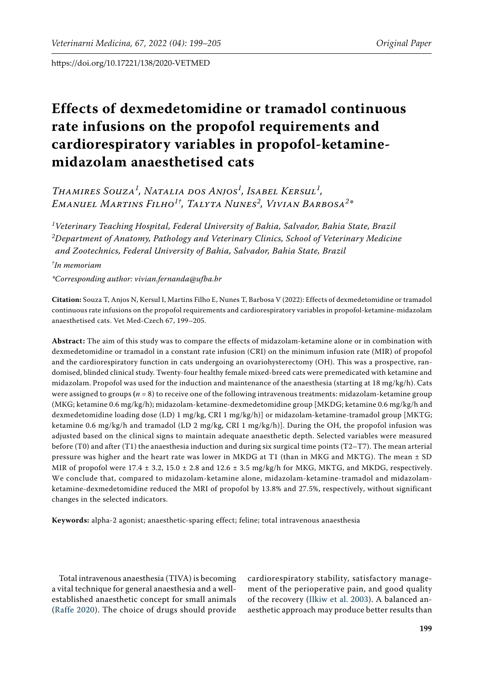# **Effects of dexmedetomidine or tramadol continuous rate infusions on the propofol requirements and cardiorespiratory variables in propofol-ketaminemidazolam anaesthetised cats**

*Thamires Souza<sup>1</sup> , Natalia dos Anjos<sup>1</sup> , Isabel Kersul<sup>1</sup> , Emanuel Martins Filho1†, Talyta Nunes2 , Vivian Barbosa<sup>2</sup> \**

*1 Veterinary Teaching Hospital, Federal University of Bahia, Salvador, Bahia State, Brazil 2 Department of Anatomy, Pathology and Veterinary Clinics, School of Veterinary Medicine and Zootechnics, Federal University of Bahia, Salvador, Bahia State, Brazil*

*† In memoriam*

*\*Corresponding author: vivian.fernanda@ufba.br*

**Citation:** Souza T, Anjos N, Kersul I, Martins Filho E, Nunes T, Barbosa V (2022): Effects of dexmedetomidine or tramadol continuous rate infusions on the propofol requirements and cardiorespiratory variables in propofol-ketamine-midazolam anaesthetised cats. Vet Med-Czech 67, 199–205.

**Abstract:** The aim of this study was to compare the effects of midazolam-ketamine alone or in combination with dexmedetomidine or tramadol in a constant rate infusion (CRI) on the minimum infusion rate (MIR) of propofol and the cardiorespiratory function in cats undergoing an ovariohysterectomy (OH). This was a prospective, randomised, blinded clinical study. Twenty-four healthy female mixed-breed cats were premedicated with ketamine and midazolam. Propofol was used for the induction and maintenance of the anaesthesia (starting at 18 mg/kg/h). Cats were assigned to groups **(***n* = 8) to receive one of the following intravenous treatments: midazolam-ketamine group (MKG; ketamine 0.6 mg/kg/h); midazolam-ketamine-dexmedetomidine group [MKDG; ketamine 0.6 mg/kg/h and dexmedetomidine loading dose (LD) 1 mg/kg, CRI 1 mg/kg/h)] or midazolam-ketamine-tramadol group [MKTG; ketamine 0.6 mg/kg/h and tramadol (LD 2 mg/kg, CRI 1 mg/kg/h)]. During the OH, the propofol infusion was adjusted based on the clinical signs to maintain adequate anaesthetic depth. Selected variables were measured before (T0) and after (T1) the anaesthesia induction and during six surgical time points (T2–T7). The mean arterial pressure was higher and the heart rate was lower in MKDG at T1 (than in MKG and MKTG). The mean ± SD MIR of propofol were  $17.4 \pm 3.2$ ,  $15.0 \pm 2.8$  and  $12.6 \pm 3.5$  mg/kg/h for MKG, MKTG, and MKDG, respectively. We conclude that, compared to midazolam-ketamine alone, midazolam-ketamine-tramadol and midazolamketamine-dexmedetomidine reduced the MRI of propofol by 13.8% and 27.5%, respectively, without significant changes in the selected indicators.

**Keywords:** alpha-2 agonist; anaesthetic-sparing effect; feline; total intravenous anaesthesia

Total intravenous anaesthesia (TIVA) is becoming a vital technique for general anaesthesia and a wellestablished anaesthetic concept for small animals [\(Raffe 2020](#page-5-0)). The choice of drugs should provide cardiorespiratory stability, satisfactory management of the perioperative pain, and good quality of the recovery [\(Ilkiw et al. 2003](#page-5-1)). A balanced anaesthetic approach may produce better results than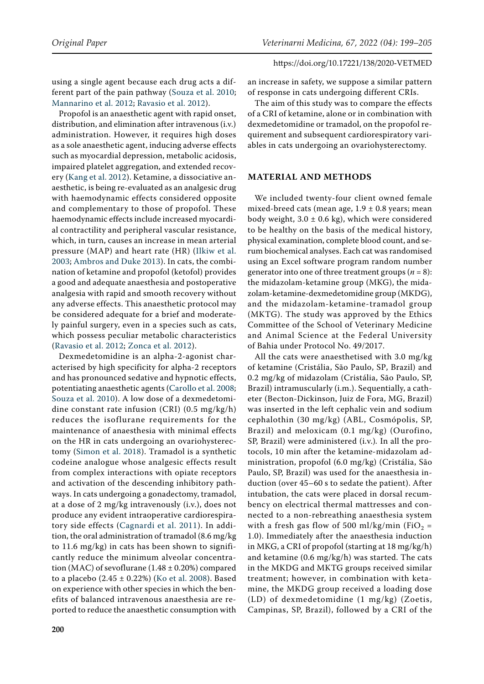using a single agent because each drug acts a different part of the pain pathway [\(Souza et al. 2010](#page-6-0); [Mannarino et al. 2012;](#page-5-2) [Ravasio et al. 2012\)](#page-5-3).

Propofol is an anaesthetic agent with rapid onset, distribution, and elimination after intravenous (i.v.) administration. However, it requires high doses as a sole anaesthetic agent, inducing adverse effects such as myocardial depression, metabolic acidosis, impaired platelet aggregation, and extended recovery ([Kang et al. 2012\)](#page-5-4). Ketamine, a dissociative anaesthetic, is being re-evaluated as an analgesic drug with haemodynamic effects considered opposite and complementary to those of propofol. These haemodynamic effects include increased myocardial contractility and peripheral vascular resistance, which, in turn, causes an increase in mean arterial pressure (MAP) and heart rate (HR) ([Ilkiw et al.](#page-5-1)  [2003;](#page-5-1) [Ambros and Duke 2013\)](#page-5-5). In cats, the combination of ketamine and propofol (ketofol) provides a good and adequate anaesthesia and postoperative analgesia with rapid and smooth recovery without any adverse effects. This anaesthetic protocol may be considered adequate for a brief and moderately painful surgery, even in a species such as cats, which possess peculiar metabolic characteristics [\(Ravasio et al. 2012](#page-5-3); [Zonca et al. 2012\)](#page-6-1).

Dexmedetomidine is an alpha-2-agonist characterised by high specificity for alpha-2 receptors and has pronounced sedative and hypnotic effects, potentiating anaesthetic agents [\(Carollo et al. 2008](#page-5-6); [Souza et al. 2010](#page-6-0)). A low dose of a dexmedetomidine constant rate infusion (CRI) (0.5 mg/kg/h) reduces the isoflurane requirements for the maintenance of anaesthesia with minimal effects on the HR in cats undergoing an ovariohysterectomy ([Simon et al. 2018\)](#page-6-2). Tramadol is a synthetic codeine analogue whose analgesic effects result from complex interactions with opiate receptors and activation of the descending inhibitory pathways. In cats undergoing a gonadectomy, tramadol, at a dose of 2 mg/kg intravenously (i.v.), does not produce any evident intraoperative cardiorespiratory side effects ([Cagnardi et al. 2011](#page-5-7)). In addition, the oral administration of tramadol (8.6 mg/kg to 11.6 mg/kg) in cats has been shown to significantly reduce the minimum alveolar concentration (MAC) of sevoflurane (1.48  $\pm$  0.20%) compared to a placebo  $(2.45 \pm 0.22%)$  [\(Ko et al. 2008\)](#page-5-8). Based on experience with other species in which the benefits of balanced intravenous anaesthesia are reported to reduce the anaesthetic consumption with

an increase in safety, we suppose a similar pattern of response in cats undergoing different CRIs.

The aim of this study was to compare the effects of a CRI of ketamine, alone or in combination with dexmedetomidine or tramadol, on the propofol requirement and subsequent cardiorespiratory variables in cats undergoing an ovariohysterectomy.

## **MATERIAL AND METHODS**

We included twenty-four client owned female mixed-breed cats (mean age,  $1.9 \pm 0.8$  years; mean body weight,  $3.0 \pm 0.6$  kg), which were considered to be healthy on the basis of the medical history, physical examination, complete blood count, and serum biochemical analyses. Each cat was randomised using an Excel software program random number generator into one of three treatment groups  $(n = 8)$ : the midazolam-ketamine group (MKG), the midazolam-ketamine-dexmedetomidine group (MKDG), and the midazolam-ketamine-tramadol group (MKTG). The study was approved by the Ethics Committee of the School of Veterinary Medicine and Animal Science at the Federal University of Bahia under Protocol No. 49/2017.

All the cats were anaesthetised with 3.0 mg/kg of ketamine (Cristália, São Paulo, SP, Brazil) and 0.2 mg/kg of midazolam (Cristália, São Paulo, SP, Brazil) intramuscularly (i.m.). Sequentially, a catheter (Becton-Dickinson, Juiz de Fora, MG, Brazil) was inserted in the left cephalic vein and sodium cephalothin (30 mg/kg) (ABL, Cosmópolis, SP, Brazil) and meloxicam (0.1 mg/kg) (Ourofino, SP, Brazil) were administered (i.v.)*.* In all the protocols, 10 min after the ketamine-midazolam administration, propofol (6.0 mg/kg) (Cristália, São Paulo, SP, Brazil) was used for the anaesthesia induction (over 45–60 s to sedate the patient). After intubation, the cats were placed in dorsal recumbency on electrical thermal mattresses and connected to a non-rebreathing anaesthesia system with a fresh gas flow of 500 ml/kg/min (FiO<sub>2</sub> = 1.0). Immediately after the anaesthesia induction in MKG, a CRI of propofol (starting at 18 mg/kg/h) and ketamine (0.6 mg/kg/h) was started. The cats in the MKDG and MKTG groups received similar treatment; however, in combination with ketamine, the MKDG group received a loading dose (LD) of dexmedetomidine (1 mg/kg) (Zoetis, Campinas, SP, Brazil), followed by a CRI of the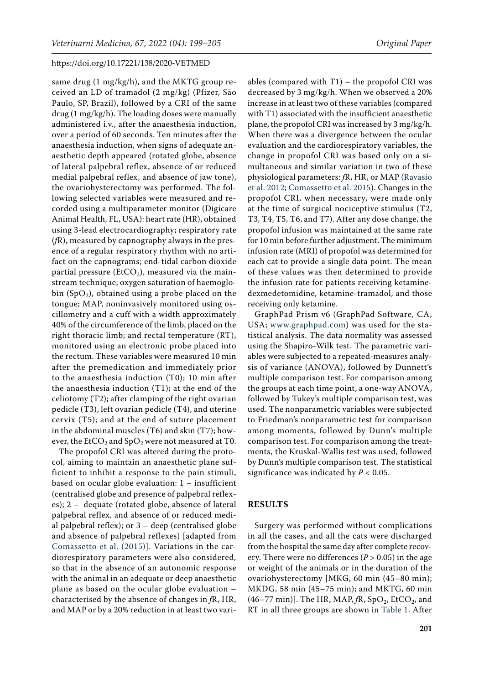same drug (1 mg/kg/h), and the MKTG group received an LD of tramadol (2 mg/kg) (Pfizer, São Paulo, SP, Brazil), followed by a CRI of the same drug (1 mg/kg/h). The loading doses were manually administered i.v., after the anaesthesia induction, over a period of 60 seconds. Ten minutes after the anaesthesia induction, when signs of adequate anaesthetic depth appeared (rotated globe, absence of lateral palpebral reflex, absence of or reduced medial palpebral reflex, and absence of jaw tone), the ovariohysterectomy was performed. The following selected variables were measured and recorded using a multiparameter monitor (Digicare Animal Health, FL, USA): heart rate (HR), obtained using 3-lead electrocardiography; respiratory rate (*f*R), measured by capnography always in the presence of a regular respiratory rhythm with no artifact on the capnograms; end-tidal carbon dioxide partial pressure (EtCO<sub>2</sub>), measured via the mainstream technique; oxygen saturation of haemoglobin  $(SpO<sub>2</sub>)$ , obtained using a probe placed on the tongue; MAP, noninvasively monitored using oscillometry and a cuff with a width approximately 40% of the circumference of the limb, placed on the right thoracic limb; and rectal temperature (RT), monitored using an electronic probe placed into the rectum. These variables were measured 10 min after the premedication and immediately prior to the anaesthesia induction (T0); 10 min after the anaesthesia induction (T1); at the end of the celiotomy (T2); after clamping of the right ovarian pedicle (T3), left ovarian pedicle (T4), and uterine cervix (T5); and at the end of suture placement in the abdominal muscles (T6) and skin (T7); however, the EtCO<sub>2</sub> and SpO<sub>2</sub> were not measured at T0.

The propofol CRI was altered during the protocol, aiming to maintain an anaesthetic plane sufficient to inhibit a response to the pain stimuli, based on ocular globe evaluation: 1 – insufficient (centralised globe and presence of palpebral reflexes); 2 – dequate (rotated globe, absence of lateral palpebral reflex, and absence of or reduced medial palpebral reflex); or  $3 -$  deep (centralised globe and absence of palpebral reflexes) [adapted from [Comassetto et al. \(2015\)](#page-5-9)]. Variations in the cardiorespiratory parameters were also considered, so that in the absence of an autonomic response with the animal in an adequate or deep anaesthetic plane as based on the ocular globe evaluation – characterised by the absence of changes in *f*R, HR, and MAP or by a 20% reduction in at least two vari-

ables (compared with  $T1$ ) – the propofol CRI was decreased by 3 mg/kg/h. When we observed a 20% increase in at least two of these variables (compared with T1) associated with the insufficient anaesthetic plane, the propofol CRI was increased by 3 mg/kg/h. When there was a divergence between the ocular evaluation and the cardiorespiratory variables, the change in propofol CRI was based only on a simultaneous and similar variation in two of these physiological parameters: *f*R, HR, or MAP ([Ravasio](#page-5-3) [et al. 2012](#page-5-3); [Comassetto et al. 2015](#page-5-9)). Changes in the propofol CRI, when necessary, were made only at the time of surgical nociceptive stimulus (T2, T3, T4, T5, T6, and T7). After any dose change, the propofol infusion was maintained at the same rate for 10 min before further adjustment. The minimum infusion rate (MRI) of propofol was determined for each cat to provide a single data point. The mean of these values was then determined to provide the infusion rate for patients receiving ketaminedexmedetomidine, ketamine-tramadol, and those receiving only ketamine.

GraphPad Prism v6 (GraphPad Software, CA, USA; [www.graphpad.com\)](http://www.graphpad.com) was used for the statistical analysis. The data normality was assessed using the Shapiro-Wilk test. The parametric variables were subjected to a repeated-measures analysis of variance (ANOVA), followed by Dunnett's multiple comparison test. For comparison among the groups at each time point, a one-way ANOVA, followed by Tukey's multiple comparison test, was used. The nonparametric variables were subjected to Friedman's nonparametric test for comparison among moments, followed by Dunn's multiple comparison test. For comparison among the treatments, the Kruskal-Wallis test was used, followed by Dunn's multiple comparison test. The statistical significance was indicated by  $P < 0.05$ .

### **RESULTS**

Surgery was performed without complications in all the cases, and all the cats were discharged from the hospital the same day after complete recovery. There were no differences ( $P > 0.05$ ) in the age or weight of the animals or in the duration of the ovariohysterectomy [MKG, 60 min (45–80 min); MKDG, 58 min (45–75 min); and MKTG, 60 min  $(46–77 \text{ min})$ . The HR, MAP,  $fR$ , SpO<sub>2</sub>, EtCO<sub>2</sub>, and RT in all three groups are shown in [Table 1](#page-3-0). After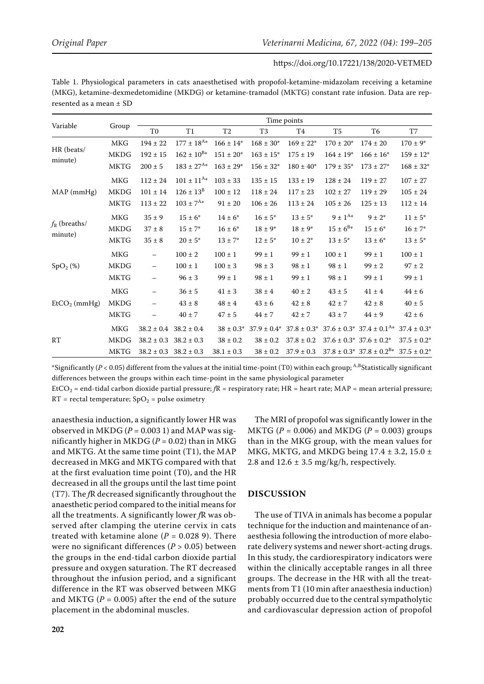<span id="page-3-0"></span>Table 1. Physiological parameters in cats anaesthetised with propofol-ketamine-midazolam receiving a ketamine (MKG), ketamine-dexmedetomidine (MKDG) or ketamine-tramadol (MKTG) constant rate infusion. Data are represented as a mean ± SD

| Variable                         | Group       | Time points              |                   |                           |                  |                  |                 |                                             |                  |
|----------------------------------|-------------|--------------------------|-------------------|---------------------------|------------------|------------------|-----------------|---------------------------------------------|------------------|
|                                  |             | T <sub>0</sub>           | T1                | T <sub>2</sub>            | T <sub>3</sub>   | T4               | T <sub>5</sub>  | T6                                          | T7               |
| HR (beats/<br>minute)            | MKG         | $194 \pm 22$             | $177 \pm 18^{A*}$ | $166 \pm 14$ <sup>*</sup> | $168 \pm 30*$    | $169 \pm 22$ *   | $170 \pm 20^*$  | $174 \pm 20$                                | $170 \pm 9^*$    |
|                                  | <b>MKDG</b> | $192 \pm 15$             | $162 \pm 10^{B*}$ | $151\pm20^*$              | $163 \pm 15^*$   | $175 \pm 19$     | $164 \pm 19$ *  | $166 \pm 16^*$                              | $159 \pm 12^*$   |
|                                  | <b>MKTG</b> | $200 \pm 5$              | $183 \pm 27^{A*}$ | $163 \pm 29*$             | $156 \pm 32*$    | $180 \pm 40^*$   | $179 \pm 35^*$  | $173 \pm 27*$                               | $168 \pm 32*$    |
| MAP (mmHg)                       | <b>MKG</b>  | $112 \pm 24$             | $101 \pm 11^{A*}$ | $103 \pm 33$              | $135 \pm 15$     | $133 \pm 19$     | $128 \pm 24$    | $119 \pm 27$                                | $107 \pm 27$     |
|                                  | <b>MKDG</b> | $101\pm14$               | $126 \pm 13^8$    | $100 \pm 12$              | $118 \pm 24$     | $117 \pm 23$     | $102 \pm 27$    | $119 \pm 29$                                | $105 \pm 24$     |
|                                  | <b>MKTG</b> | $113\pm22$               | $103 \pm 7^{A*}$  | $91 \pm 20$               | $106 \pm 26$     | $113 \pm 24$     | $105 \pm 26$    | $125 \pm 13$                                | $112 \pm 14$     |
| $f_{\rm R}$ (breaths/<br>minute) | MKG         | $35 \pm 9$               | $15 \pm 6^*$      | $14 \pm 6^*$              | $16 \pm 5^*$     | $13 \pm 5^*$     | $9 \pm 1^{A*}$  | $9 \pm 2^*$                                 | $11 \pm 5^*$     |
|                                  | <b>MKDG</b> | $37 \pm 8$               | $15 \pm 7^*$      | $16 \pm 6^*$              | $18 \pm 9^*$     | $18 \pm 9^*$     | $15 \pm 6^{B*}$ | $15 \pm 6^*$                                | $16 \pm 7^*$     |
|                                  | <b>MKTG</b> | $35 \pm 8$               | $20 \pm 5^*$      | $13 \pm 7^*$              | $12 \pm 5^*$     | $10 \pm 2^*$     | $13 \pm 5^*$    | $13 \pm 6^*$                                | $13 \pm 5^*$     |
| SpO <sub>2</sub> (%)             | <b>MKG</b>  | $\qquad \qquad -$        | $100 \pm 2$       | $100 \pm 1$               | $99 \pm 1$       | $99 \pm 1$       | $100 \pm 1$     | $99 \pm 1$                                  | $100 \pm 1$      |
|                                  | <b>MKDG</b> | $\overline{\phantom{0}}$ | $100 \pm 1$       | $100 \pm 3$               | $98 \pm 3$       | $98 \pm 1$       | $98 \pm 1$      | $99 \pm 2$                                  | $97 \pm 2$       |
|                                  | <b>MKTG</b> | $\qquad \qquad -$        | $96\pm3$          | $99\pm1$                  | $98 \pm 1$       | $99 \pm 1$       | $98 \pm 1$      | $99 \pm 1$                                  | $99 \pm 1$       |
| $EtCO2$ (mmHg)                   | MKG         | $\overline{\phantom{0}}$ | $36 \pm 5$        | $41 \pm 3$                | $38 \pm 4$       | $40 \pm 2$       | $43 \pm 5$      | $41 \pm 4$                                  | $44 \pm 6$       |
|                                  | <b>MKDG</b> | $\qquad \qquad -$        | $43 \pm 8$        | $48 \pm 4$                | $43\pm6$         | $42 \pm 8$       | $42 \pm 7$      | $42 \pm 8$                                  | $40 \pm 5$       |
|                                  | MKTG        |                          | $40 \pm 7$        | $47 \pm 5$                | $44 \pm 7$       | $42 \pm 7$       | $43 \pm 7$      | $44 \pm 9$                                  | $42 \pm 6$       |
| RT                               | MKG         | $38.2 \pm 0.4$           | $38.2 \pm 0.4$    | $38 \pm 0.3^*$            | $37.9 \pm 0.4^*$ | $37.8 \pm 0.3^*$ |                 | $37.6 \pm 0.3^*$ $37.4 \pm 0.1^{\text{A*}}$ | $37.4 \pm 0.3^*$ |
|                                  | <b>MKDG</b> | $38.2 \pm 0.3$           | $38.2 \pm 0.3$    | $38 \pm 0.2$              | $38 \pm 0.2$     | $37.8 \pm 0.2$   |                 | $37.6 \pm 0.3^*$ 37.6 $\pm 0.2^*$           | $37.5 \pm 0.2^*$ |
|                                  | <b>MKTG</b> | $38.2 \pm 0.3$           | $38.2 \pm 0.3$    | $38.1\pm0.3$              | $38 \pm 0.2$     | $37.9 \pm 0.3$   |                 | $37.8 \pm 0.3^*$ $37.8 \pm 0.2^{B*}$        | $37.5 \pm 0.2^*$ |

\*Significantly (*P* < 0.05) different from the values at the initial time-point (T0) within each group; A,BStatistically significant differences between the groups within each time-point in the same physiological parameter

EtCO<sub>2</sub> = end-tidal carbon dioxide partial pressure;  $fR$  = respiratory rate; HR = heart rate; MAP = mean arterial pressure;  $RT$  = rectal temperature;  $SpO<sub>2</sub>$  = pulse oximetry

anaesthesia induction, a significantly lower HR was observed in MKDG ( $P = 0.003$  1) and MAP was significantly higher in MKDG ( $P = 0.02$ ) than in MKG and MKTG. At the same time point (T1), the MAP decreased in MKG and MKTG compared with that at the first evaluation time point (T0), and the HR decreased in all the groups until the last time point (T7). The *f*R decreased significantly throughout the anaesthetic period compared to the initial means for all the treatments. A significantly lower *f*R was observed after clamping the uterine cervix in cats treated with ketamine alone  $(P = 0.0289)$ . There were no significant differences (*P* > 0.05) between the groups in the end-tidal carbon dioxide partial pressure and oxygen saturation. The RT decreased throughout the infusion period, and a significant difference in the RT was observed between MKG and MKTG ( $P = 0.005$ ) after the end of the suture placement in the abdominal muscles.

The MRI of propofol was significantly lower in the  $MKTG$  ( $P = 0.006$ ) and  $MKDG$  ( $P = 0.003$ ) groups than in the MKG group, with the mean values for MKG, MKTG, and MKDG being  $17.4 \pm 3.2$ ,  $15.0 \pm 1.0$ 2.8 and  $12.6 \pm 3.5$  mg/kg/h, respectively.

## **DISCUSSION**

The use of TIVA in animals has become a popular technique for the induction and maintenance of anaesthesia following the introduction of more elaborate delivery systems and newer short-acting drugs. In this study, the cardiorespiratory indicators were within the clinically acceptable ranges in all three groups. The decrease in the HR with all the treatments from T1 (10 min after anaesthesia induction) probably occurred due to the central sympatholytic and cardiovascular depression action of propofol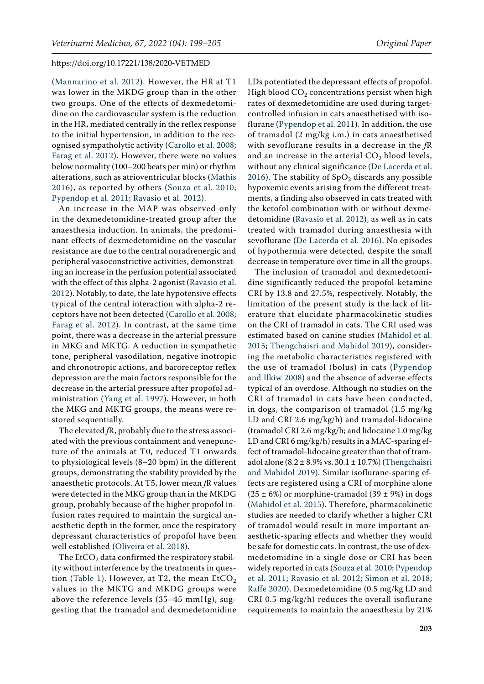([Mannarino et al. 2012](#page-5-2)). However, the HR at T1 was lower in the MKDG group than in the other two groups. One of the effects of dexmedetomidine on the cardiovascular system is the reduction in the HR, mediated centrally in the reflex response to the initial hypertension, in addition to the recognised sympatholytic activity ([Carollo et al. 2008](#page-5-6); [Farag et al. 2012\)](#page-5-10). However, there were no values below normality (100–200 beats per min) or rhythm alterations, such as atrioventricular blocks [\(Mathis](#page-5-11)  [2016](#page-5-11)), as reported by others [\(Souza et al. 2010](#page-6-0); [Pypendop et al. 2011;](#page-5-12) [Ravasio et al. 2012\)](#page-5-3).

An increase in the MAP was observed only in the dexmedetomidine-treated group after the anaesthesia induction. In animals, the predominant effects of dexmedetomidine on the vascular resistance are due to the central noradrenergic and peripheral vasoconstrictive activities, demonstrating an increase in the perfusion potential associated with the effect of this alpha-2 agonist [\(Ravasio et al.](#page-5-3)  [2012\)](#page-5-3). Notably, to date, the late hypotensive effects typical of the central interaction with alpha-2 receptors have not been detected ([Carollo et al. 2008](#page-5-6); [Farag et al. 2012\)](#page-5-10). In contrast, at the same time point, there was a decrease in the arterial pressure in MKG and MKTG. A reduction in sympathetic tone, peripheral vasodilation, negative inotropic and chronotropic actions, and baroreceptor reflex depression are the main factors responsible for the decrease in the arterial pressure after propofol administration ([Yang et al. 1997](#page-6-3)). However, in both the MKG and MKTG groups, the means were restored sequentially.

The elevated *f*R, probably due to the stress associated with the previous containment and venepuncture of the animals at T0, reduced T1 onwards to physiological levels (8–20 bpm) in the different groups, demonstrating the stability provided by the anaesthetic protocols. At T5, lower mean *f*R values were detected in the MKG group than in the MKDG group, probably because of the higher propofol infusion rates required to maintain the surgical anaesthetic depth in the former, once the respiratory depressant characteristics of propofol have been well established ([Oliveira et al. 2018](#page-5-13)).

The  $EtCO<sub>2</sub>$  data confirmed the respiratory stability without interference by the treatments in ques-tion ([Table 1\)](#page-3-0). However, at T2, the mean  $ECO<sub>2</sub>$ values in the MKTG and MKDG groups were above the reference levels (35–45 mmHg), suggesting that the tramadol and dexmedetomidine

LDs potentiated the depressant effects of propofol. High blood  $CO<sub>2</sub>$  concentrations persist when high rates of dexmedetomidine are used during targetcontrolled infusion in cats anaesthetised with isoflurane ([Pypendop et al. 2011\)](#page-5-12). In addition, the use of tramadol (2 mg/kg i.m.) in cats anaesthetised with sevoflurane results in a decrease in the *f*R and an increase in the arterial  $CO<sub>2</sub>$  blood levels, without any clinical significance [\(De Lacerda et al.](#page-5-14) [2016\)](#page-5-14). The stability of  $SpO<sub>2</sub>$  discards any possible hypoxemic events arising from the different treatments, a finding also observed in cats treated with the ketofol combination with or without dexmedetomidine [\(Ravasio et al. 2012\)](#page-5-3), as well as in cats treated with tramadol during anaesthesia with sevoflurane [\(De Lacerda et al. 2016](#page-5-14)). No episodes of hypothermia were detected, despite the small decrease in temperature over time in all the groups.

The inclusion of tramadol and dexmedetomidine significantly reduced the propofol-ketamine CRI by 13.8 and 27.5%, respectively. Notably, the limitation of the present study is the lack of literature that elucidate pharmacokinetic studies on the CRI of tramadol in cats. The CRI used was estimated based on canine studies ([Mahidol et al.](#page-5-15) [2015;](#page-5-15) [Thengchaisri and Mahidol 2019](#page-6-4)), considering the metabolic characteristics registered with the use of tramadol (bolus) in cats ([Pypendop](#page-5-16) [and Ilkiw 2008\)](#page-5-16) and the absence of adverse effects typical of an overdose. Although no studies on the CRI of tramadol in cats have been conducted, in dogs, the comparison of tramadol (1.5 mg/kg LD and CRI 2.6 mg/kg/h) and tramadol-lidocaine (tramadol CRI 2.6 mg/kg/h; and lidocaine 1.0 mg/kg LD and CRI 6 mg/kg/h) results in a MAC-sparing effect of tramadol-lidocaine greater than that of tramadol alone  $(8.2 \pm 8.9\% \text{ vs. } 30.1 \pm 10.7\%)$  ([Thengchaisri](#page-6-4) [and Mahidol 2019\)](#page-6-4). Similar isoflurane-sparing effects are registered using a CRI of morphine alone  $(25 \pm 6\%)$  or morphine-tramadol  $(39 \pm 9\%)$  in dogs [\(Mahidol et al. 2015\)](#page-5-15). Therefore, pharmacokinetic studies are needed to clarify whether a higher CRI of tramadol would result in more important anaesthetic-sparing effects and whether they would be safe for domestic cats. In contrast, the use of dexmedetomidine in a single dose or CRI has been widely reported in cats ([Souza et al. 2010](#page-6-0); [Pypendop](#page-5-12) [et al. 2011](#page-5-12); [Ravasio et al. 2012](#page-5-3); [Simon et al. 2018](#page-6-2); [Raffe 2020](#page-5-0)). Dexmedetomidine (0.5 mg/kg LD and CRI 0.5 mg/kg/h) reduces the overall isoflurane requirements to maintain the anaesthesia by 21%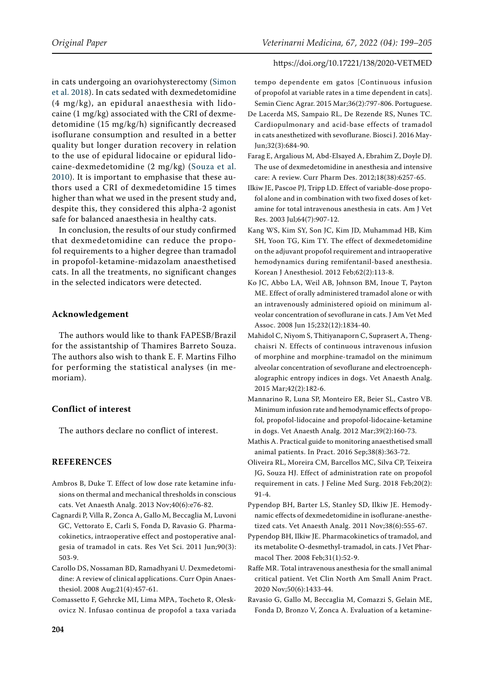in cats undergoing an ovariohysterectomy ([Simon](#page-6-2)  [et al. 2018](#page-6-2)). In cats sedated with dexmedetomidine (4 mg/kg), an epidural anaesthesia with lidocaine (1 mg/kg) associated with the CRI of dexmedetomidine (15 mg/kg/h) significantly decreased isoflurane consumption and resulted in a better quality but longer duration recovery in relation to the use of epidural lidocaine or epidural lidocaine-dexmedetomidine (2 mg/kg) [\(Souza et al.](#page-6-0)  [2010\)](#page-6-0). It is important to emphasise that these authors used a CRI of dexmedetomidine 15 times higher than what we used in the present study and, despite this, they considered this alpha-2 agonist safe for balanced anaesthesia in healthy cats.

In conclusion, the results of our study confirmed that dexmedetomidine can reduce the propofol requirements to a higher degree than tramadol in propofol-ketamine-midazolam anaesthetised cats. In all the treatments, no significant changes in the selected indicators were detected.

## **Acknowledgement**

The authors would like to thank FAPESB/Brazil for the assistantship of Thamires Barreto Souza. The authors also wish to thank E. F. Martins Filho for performing the statistical analyses (in memoriam).

## **Conflict of interest**

The authors declare no conflict of interest.

## **REFERENCES**

- <span id="page-5-5"></span>Ambros B, Duke T. Effect of low dose rate ketamine infusions on thermal and mechanical thresholds in conscious cats. Vet Anaesth Analg. 2013 Nov;40(6):e76-82.
- <span id="page-5-7"></span>Cagnardi P, Villa R, Zonca A, Gallo M, Beccaglia M, Luvoni GC, Vettorato E, Carli S, Fonda D, Ravasio G. Pharmacokinetics, intraoperative effect and postoperative analgesia of tramadol in cats. Res Vet Sci. 2011 Jun;90(3): 503-9.
- <span id="page-5-6"></span>Carollo DS, Nossaman BD, Ramadhyani U. Dexmedetomidine: A review of clinical applications. Curr Opin Anaesthesiol. 2008 Aug;21(4):457-61.
- <span id="page-5-9"></span>Comassetto F, Gehrcke MI, Lima MPA, Tocheto R, Oleskovicz N. Infusao continua de propofol a taxa variada

#### https://doi.org/10.17221/138/2020-VETMED

tempo dependente em gatos [Continuous infusion of propofol at variable rates in a time dependent in cats]. Semin Cienc Agrar. 2015 Mar;36(2):797-806. Portuguese.

- <span id="page-5-14"></span>De Lacerda MS, Sampaio RL, De Rezende RS, Nunes TC. Cardiopulmonary and acid-base effects of tramadol in cats anesthetized with sevoflurane. Biosci J. 2016 May-Jun;32(3):684-90.
- <span id="page-5-10"></span>Farag E, Argalious M, Abd-Elsayed A, Ebrahim Z, Doyle DJ. The use of dexmedetomidine in anesthesia and intensive care: A review. Curr Pharm Des. 2012;18(38):6257-65.
- <span id="page-5-1"></span>Ilkiw JE, Pascoe PJ, Tripp LD. Effect of variable-dose propofol alone and in combination with two fixed doses of ketamine for total intravenous anesthesia in cats. Am J Vet Res. 2003 Jul;64(7):907-12.
- <span id="page-5-4"></span>Kang WS, Kim SY, Son JC, Kim JD, Muhammad HB, Kim SH, Yoon TG, Kim TY. The effect of dexmedetomidine on the adjuvant propofol requirement and intraoperative hemodynamics during remifentanil-based anesthesia. Korean J Anesthesiol. 2012 Feb;62(2):113-8.
- <span id="page-5-8"></span>Ko JC, Abbo LA, Weil AB, Johnson BM, Inoue T, Payton ME. Effect of orally administered tramadol alone or with an intravenously administered opioid on minimum alveolar concentration of sevoflurane in cats. J Am Vet Med Assoc. 2008 Jun 15;232(12):1834-40.
- <span id="page-5-15"></span>Mahidol C, Niyom S, Thitiyanaporn C, Suprasert A, Thengchaisri N. Effects of continuous intravenous infusion of morphine and morphine-tramadol on the minimum alveolar concentration of sevoflurane and electroencephalographic entropy indices in dogs. Vet Anaesth Analg. 2015 Mar;42(2):182-6.
- <span id="page-5-2"></span>Mannarino R, Luna SP, Monteiro ER, Beier SL, Castro VB. Minimum infusion rate and hemodynamic effects of propofol, propofol-lidocaine and propofol-lidocaine-ketamine in dogs. Vet Anaesth Analg. 2012 Mar;39(2):160-73.
- <span id="page-5-11"></span>Mathis A. Practical guide to monitoring anaesthetised small animal patients. In Pract. 2016 Sep;38(8):363-72.
- <span id="page-5-13"></span>Oliveira RL, Moreira CM, Barcellos MC, Silva CP, Teixeira JG, Souza HJ. Effect of administration rate on propofol requirement in cats. J Feline Med Surg. 2018 Feb;20(2): 91-4.
- <span id="page-5-12"></span>Pypendop BH, Barter LS, Stanley SD, Ilkiw JE. Hemodynamic effects of dexmedetomidine in isoflurane-anesthetized cats. Vet Anaesth Analg. 2011 Nov;38(6):555-67.
- <span id="page-5-16"></span>Pypendop BH, Ilkiw JE. Pharmacokinetics of tramadol, and its metabolite O-desmethyl-tramadol, in cats. J Vet Pharmacol Ther. 2008 Feb;31(1):52-9.
- <span id="page-5-0"></span>Raffe MR. Total intravenous anesthesia for the small animal critical patient. Vet Clin North Am Small Anim Pract. 2020 Nov;50(6):1433-44.
- <span id="page-5-3"></span>Ravasio G, Gallo M, Beccaglia M, Comazzi S, Gelain ME, Fonda D, Bronzo V, Zonca A. Evaluation of a ketamine-